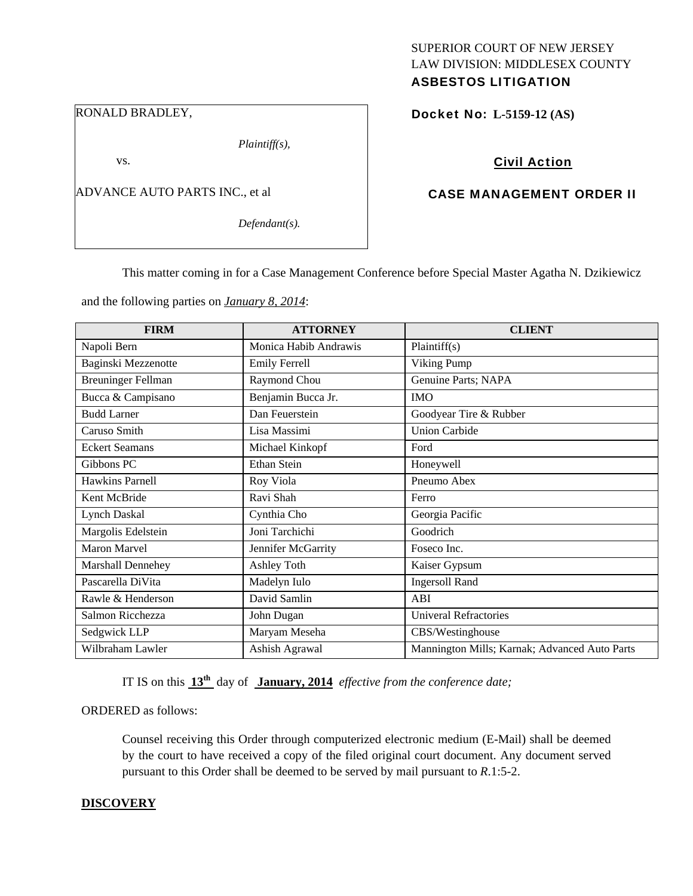## RONALD BRADLEY,

*Plaintiff(s),* 

vs.

ADVANCE AUTO PARTS INC., et al

*Defendant(s).* 

# SUPERIOR COURT OF NEW JERSEY LAW DIVISION: MIDDLESEX COUNTY ASBESTOS LITIGATION

Docket No: **L-5159-12 (AS)** 

# Civil Action

# CASE MANAGEMENT ORDER II

This matter coming in for a Case Management Conference before Special Master Agatha N. Dzikiewicz

and the following parties on *January 8, 2014*:

| <b>FIRM</b>               | <b>ATTORNEY</b>       | <b>CLIENT</b>                                 |
|---------------------------|-----------------------|-----------------------------------------------|
| Napoli Bern               | Monica Habib Andrawis | Plaintiff(s)                                  |
| Baginski Mezzenotte       | <b>Emily Ferrell</b>  | Viking Pump                                   |
| <b>Breuninger Fellman</b> | Raymond Chou          | Genuine Parts; NAPA                           |
| Bucca & Campisano         | Benjamin Bucca Jr.    | <b>IMO</b>                                    |
| <b>Budd Larner</b>        | Dan Feuerstein        | Goodyear Tire & Rubber                        |
| Caruso Smith              | Lisa Massimi          | <b>Union Carbide</b>                          |
| <b>Eckert Seamans</b>     | Michael Kinkopf       | Ford                                          |
| Gibbons PC                | Ethan Stein           | Honeywell                                     |
| Hawkins Parnell           | Roy Viola             | Pneumo Abex                                   |
| Kent McBride              | Ravi Shah             | Ferro                                         |
| <b>Lynch Daskal</b>       | Cynthia Cho           | Georgia Pacific                               |
| Margolis Edelstein        | Joni Tarchichi        | Goodrich                                      |
| Maron Marvel              | Jennifer McGarrity    | Foseco Inc.                                   |
| Marshall Dennehey         | Ashley Toth           | Kaiser Gypsum                                 |
| Pascarella DiVita         | Madelyn Iulo          | <b>Ingersoll Rand</b>                         |
| Rawle & Henderson         | David Samlin          | ABI                                           |
| Salmon Ricchezza          | John Dugan            | <b>Univeral Refractories</b>                  |
| Sedgwick LLP              | Maryam Meseha         | CBS/Westinghouse                              |
| Wilbraham Lawler          | Ashish Agrawal        | Mannington Mills; Karnak; Advanced Auto Parts |

IT IS on this **13th** day of **January, 2014** *effective from the conference date;*

ORDERED as follows:

Counsel receiving this Order through computerized electronic medium (E-Mail) shall be deemed by the court to have received a copy of the filed original court document. Any document served pursuant to this Order shall be deemed to be served by mail pursuant to *R*.1:5-2.

## **DISCOVERY**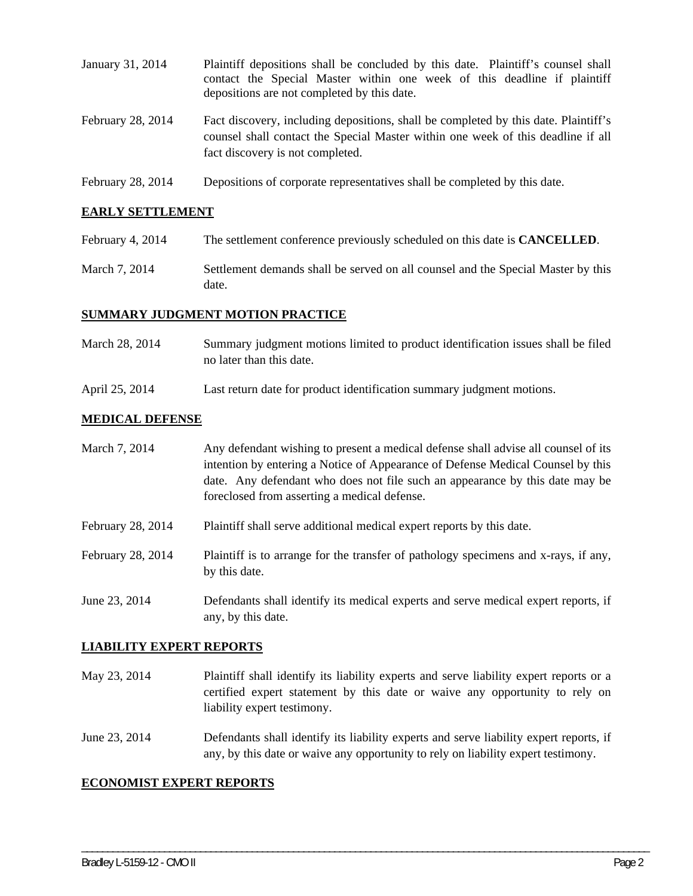| January 31, 2014  | Plaintiff depositions shall be concluded by this date. Plaintiff's counsel shall<br>contact the Special Master within one week of this deadline if plaintiff<br>depositions are not completed by this date. |
|-------------------|-------------------------------------------------------------------------------------------------------------------------------------------------------------------------------------------------------------|
| February 28, 2014 | Fact discovery, including depositions, shall be completed by this date. Plaintiff's<br>counsel shall contact the Special Master within one week of this deadline if all<br>fact discovery is not completed. |
| February 28, 2014 | Depositions of corporate representatives shall be completed by this date.                                                                                                                                   |

# **EARLY SETTLEMENT**

- February 4, 2014 The settlement conference previously scheduled on this date is **CANCELLED**.
- March 7, 2014 Settlement demands shall be served on all counsel and the Special Master by this date.

## **SUMMARY JUDGMENT MOTION PRACTICE**

- March 28, 2014 Summary judgment motions limited to product identification issues shall be filed no later than this date.
- April 25, 2014 Last return date for product identification summary judgment motions.

#### **MEDICAL DEFENSE**

| March 7, 2014     | Any defendant wishing to present a medical defense shall advise all counsel of its<br>intention by entering a Notice of Appearance of Defense Medical Counsel by this<br>date. Any defendant who does not file such an appearance by this date may be<br>foreclosed from asserting a medical defense. |
|-------------------|-------------------------------------------------------------------------------------------------------------------------------------------------------------------------------------------------------------------------------------------------------------------------------------------------------|
| February 28, 2014 | Plaintiff shall serve additional medical expert reports by this date.                                                                                                                                                                                                                                 |
| February 28, 2014 | Plaintiff is to arrange for the transfer of pathology specimens and x-rays, if any,<br>by this date.                                                                                                                                                                                                  |
| June 23, 2014     | Defendants shall identify its medical experts and serve medical expert reports, if<br>any, by this date.                                                                                                                                                                                              |

## **LIABILITY EXPERT REPORTS**

- May 23, 2014 Plaintiff shall identify its liability experts and serve liability expert reports or a certified expert statement by this date or waive any opportunity to rely on liability expert testimony.
- June 23, 2014 Defendants shall identify its liability experts and serve liability expert reports, if any, by this date or waive any opportunity to rely on liability expert testimony.

\_\_\_\_\_\_\_\_\_\_\_\_\_\_\_\_\_\_\_\_\_\_\_\_\_\_\_\_\_\_\_\_\_\_\_\_\_\_\_\_\_\_\_\_\_\_\_\_\_\_\_\_\_\_\_\_\_\_\_\_\_\_\_\_\_\_\_\_\_\_\_\_\_\_\_\_\_\_\_\_\_\_\_\_\_\_\_\_\_\_\_\_\_\_\_\_\_\_\_\_\_\_\_\_\_\_\_\_\_\_

# **ECONOMIST EXPERT REPORTS**